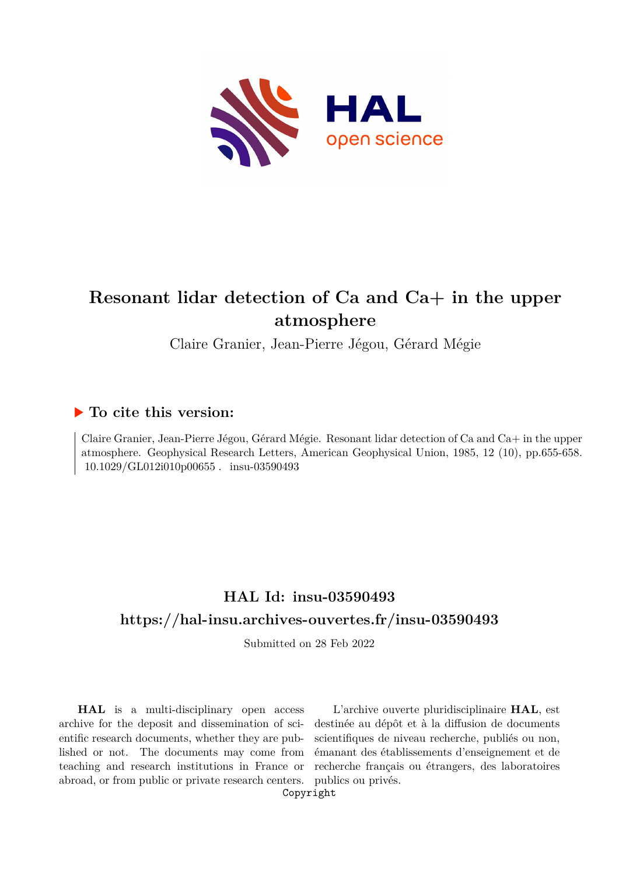

# **Resonant lidar detection of Ca and Ca+ in the upper atmosphere**

Claire Granier, Jean-Pierre Jégou, Gérard Mégie

# **To cite this version:**

Claire Granier, Jean-Pierre Jégou, Gérard Mégie. Resonant lidar detection of Ca and Ca+ in the upper atmosphere. Geophysical Research Letters, American Geophysical Union, 1985, 12 (10), pp.655-658.  $10.1029/GL012i010p00655$ . insu-03590493

# **HAL Id: insu-03590493 <https://hal-insu.archives-ouvertes.fr/insu-03590493>**

Submitted on 28 Feb 2022

**HAL** is a multi-disciplinary open access archive for the deposit and dissemination of scientific research documents, whether they are published or not. The documents may come from teaching and research institutions in France or abroad, or from public or private research centers.

L'archive ouverte pluridisciplinaire **HAL**, est destinée au dépôt et à la diffusion de documents scientifiques de niveau recherche, publiés ou non, émanant des établissements d'enseignement et de recherche français ou étrangers, des laboratoires publics ou privés.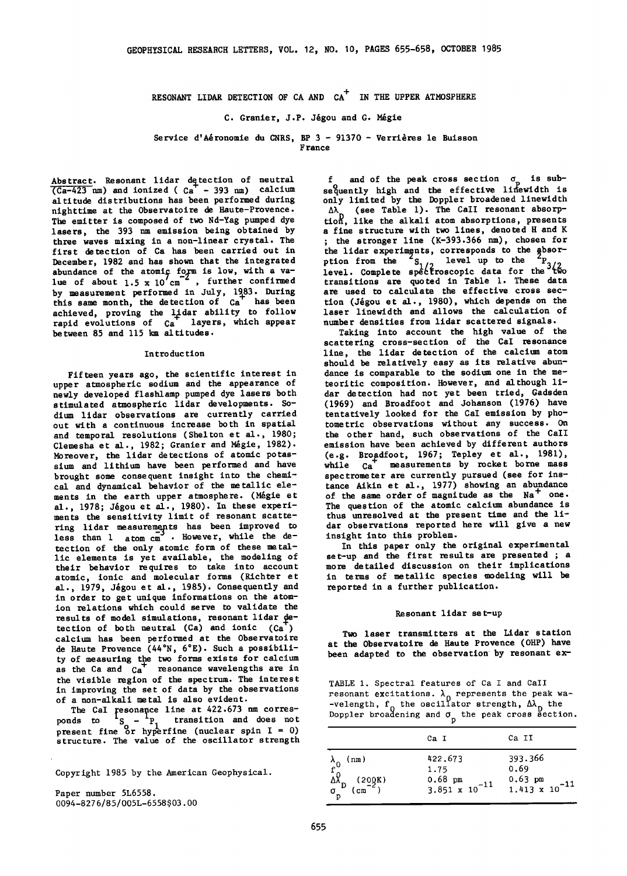RESONANT LIDAR DETECTION OF CA AND  $CA^+$  IN THE UPPER ATMOSPHERE

## C. Granier, J.P. Jégou and G. Mégie

Service d'Aéronomie du CNRS, BP 3 - 91370 - Verrières le Buisson

**F rance** 

Abstract. Resonant lidar detection of neutral  $\overline{(Ca-423 \text{ nm})}$  and ionized ( $Ca<sup>T</sup> - 393 \text{ nm}$ ) calcium **altitude distributions has been performed during nighttime at the Observatoire de Haute-Provence. The emitter is composed of two Nd-Yag pumped dye lasers, the 393 nm emission being obtained by three waves mixing in a non-linear crystal. The first detection of Ca has been carried out in December, 1982 and has shown that the integrate abundance of the atomic**  $\frac{10}{4}$  **is low, with a va-** le<br>lue of about 1.5 x 10 cm<sup>-</sup>, further confirmed tr by measurement performed in July, 1983. During this same month, the detection of Ca has been achieved, proving the **Lidar ability to follow**<br> **rapid evolutions of Ca** layers, which appear **between 85 and 115 km altitudes.** 

### **In tro duc tion**

**Fifteen years ago, the scientific interest in upper atmospheric sodium and the appearance of newly developed flashlamp pumped dye lasers both stimulated atmospheric lidar developments. Sodium lidar observations are currently carried out with a continuous increase both in spatial and temporal resolutions (Shelton et al., 1980;**  Clemesha et al., 1982; Granier and Mégie, 1982). **Moreover, the lidar detections of atomic potassium and lithium have been performed and have brought some consequent insight into the chemical and dynamical behavior of the metallic ele**ments in the earth upper atmosphere. (Mégie et al., 1978; Jégou et al., 1980). In these experiments the sensitivity limit of resonant scatte-<br>ring lidar measurements has been improved to<br>lass than 1 appear of the measurement of the state of less than 1 atom cm<sup>3</sup> . However, while the de**tection of the only atomic form of these metallic elements is yet available, the modeling of their behavior re quires to take into account atomic, ionic and molecular forms (Richter et**  al., 1979, Jégou et al., 1985). Consequently and **in order to get unique informations on the atomion relations which could serve to validate the**   $\text{tection of both neutral (Ca) and ionic (Ca}^{\text{T}})$ **calcium has been performed at the Observatoire**  de Haute Provence (44°N, 6°E). Such a possibili**ty of measuring the two forms exists for calcium as the Ca and Ca + resonance wavelengths are in the visible region of the spectrum. The interest in improving the set of data by the observations of a non-alkali metal is also evident.** 

The CaI resonance line at 422.6/3 nm corres-<br>
ponds to I<sub>S</sub> - <sup>1</sup>P<sub>1</sub> transition and does not<br>
present fine or hyperfine (nuclear spin I = 0) **structure. The value of the oscillator strength** 

**Copyright 1985 by the American Geophysical.** 

**Paper number 5L6558. 0094-827 6 / 8 5 / 005L- 6558 \$03. O0** 

f and of the peak cross section  $\sigma_p$  is sub**<sup>o</sup>sequently high and the effective linPewidth is only limited by the Doppler broadened linewidth**  A<sub>N</sub> (see Table 1). The Call resonant absorp-<br> **tion**, like the alkali atom absorptions, presents **a fine structure with two lines, denoted H and K ; the stronger line (K-393.366 nm), chosen for**  the lidar experiments, corresponds to the absorption from the  ${}^-\text{S}_{1/2}$  level up to the  ${}^-\text{P}_3$ level. Complete spectroscopic data for the two **transitions are quoted in Table 1. These data are used to calculate the effective cross sec**tion (Jégou et al., 1980), which depends on the **laser linewidth and allows the calculation of number densities from lidar scattered signals.** 

**Taking into account the high value of the scattering cross-section of the CaI resonance line, the lidar detection of the calcium atom should be relatively easy as its relative abundance is comparable to the sodium one in the meteoritic composition. However, and although lidar detection had not yet been tried, Gadsden (1969) and Broadfoot and Johanson (1976) have tentatively looked for the CaI emission by photometric observations without any success. On the other hand, such observations of the CaII emission have been achieved by different authors (e.g. Broadfoot, 1967; Tepley et al., 1981),**  while  $ca^+$  measurements by rocket borne mass **spectrometer are currently pursued (see for ins**tance Aikin et al., 1977) showing an abundance of the same order of magnitude as the Na<sup>+</sup> one. **The question of the atomic calcium abundance is thus unresolved at the present time and the lidar observations reported here will give a new insight into this problem.** 

**In this paper only the original experimental set-up and the first results are presented ; a more detailed discussion on their implications in terms of metallic species modeling will be reported in a further publication.** 

#### **Resonant lidar set-up**

**Two laser transmitters at the Lidar station at the Observatoire de Haute Provence (OHP) have**  been adapted to the observation by resonant ex-

**TABLE 1. Spectral features of Ca I and CalI**  resonant excitations. λ<sub>0</sub> represents the peak wa-<br>-velength, f<sub>0</sub> the oscillator strength, Δλ<sub>D</sub> the<br>Doppler broadening and σ<sub>D</sub> the peak cross section

|                                                                                     | Ca I                                   | Ca II                                  |
|-------------------------------------------------------------------------------------|----------------------------------------|----------------------------------------|
| (nm)                                                                                | 422.673                                | 393.366                                |
| $\lambda_0$                                                                         | 1.75                                   | 0.69                                   |
| $\begin{matrix}\n\Delta \hat{X} \\ \Delta \hat{X} \\ \sigma_p\n\end{matrix}$ (200K) | $0.68$ pm<br>3.851 x 10 <sup>-11</sup> | $0.63$ pm<br>1.413 x 10 <sup>-11</sup> |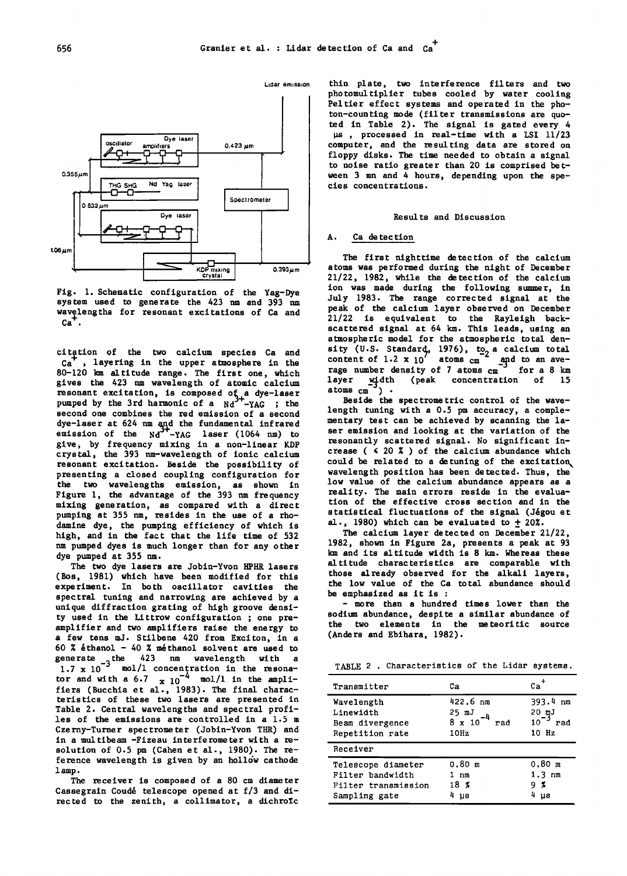

**Fig. 1. Schematic configuration of the Yag-Dye system used to generate the 423 nm and 393 nm**  wavelengths for resonant excitations of Ca and  $Ca<sup>+</sup>$ .

citation of the two calcium species Ca and  $ca^+$ , layering in the upper atmosphere in the <sup>t</sup>, layering in the upper atmosphere in the **80-120 km altitude range. The first one, which gives the 423 nm wavelength of atomic calcium**  resonant excitation, is composed of a dye-laser<br>pumped by the 3rd harmonic of a Nd<sup>3+</sup>-YAG ; the **second one combines the red emission of a second dye-laser at 624 nm and the fundamental infrared emission of the Nd3+-YAG laser (1064 nm) to give, by frequency mixing in a non-linear KDP crystal, the 393 nm-wavelength of ionic calcium resonant excitation. Beside the possibility of presenting a closed coupling configuration for the two wavelengths emission, as shown in Figure 1, the advantage of the 393 nm frequency**  mixing generation, as compared with a direc **pumping at 355 nm, resides in the use of a rhodamine dye, the pumping efficiency of which is high, and in the fact that the life time of 532 nm pumped dyes is much longer than for any other dye pumped at 355 nm.** 

**The two dye lasers are Jobin-Yvon HPHR lasers (Bos, 1981) which have been modified for this experiment. In both oscillator cavities the spectral tuning and narrowing are achieved by a unique diffraction grating of high groove density used in the Littrow configuration ; one preamplifier and two amplifiers raise the energy to a few tens mJ. Stilbene 420 from Exciton, in a 60 % &thanol - 40 % m&thanol solvent are used to**  generate <sub>-3</sub> the 423 nm wavelength with a<br>1.7 x 10<sup>-3</sup> mol/1 concentration in the resonator and with a  $6.7 \times 10^{-4}$  mol/1 in the ampli**fiers (Bucchia et al., 1983). The final characteristics of these two lasers are presented in Table 2. Central wavelengths and spectral profiles of the emissions are controlled in a 1.5 m Czerny-Turner spectrometer (Jobin-Yvon THR) and in a multibeam -Fizeau interferometer with a resolution of 0.5 pm (Cahen et al., 1980). The re**ference wavelength is given by an hollow cathode **1 amp.** 

**The receiver is composed of a 80 cm diameter**  Cassegrain Coudé telescope opened at f/3 and di**rected to the zenith, a collimator, a dichroic** 

**Liaar em•ss,on thin plate, two interference filters and two photomultiplier tubes cooled by water cooling Peltier effect systems and operated in the photon-counting mode (filter transmissions are quoted in Table 2). The signal is gated every 4 •s , processed in real-time with a LSI 11/23 computer, and the resulting data are stored on floppy disks. The time needed to obtain a signal to noise ratio greater than 20 is comprised between 3 mn and 4 hours, depending upon the species concentrations.** 

#### **Results and Discussion**

## **A. Ca de tec tion**

**The first nighttime detection of the calcium atoms was performed during the night of December 21/22, 1982, while the detection of the calcium ion was made during the following summer, in July 1983. The range corrected signal at the peak of the calcium layer observed on December 21/22 is equivalent to the Rayleigh backscattered signal at 64 km. This leads, using an atmospheric model for the atmospheric total density (U.S. Standard, 1976), to 2 calcium total business** content of 1.2 x 10 atoms cm and to an ave-<br>race number density of 7 atoms and for a 8 km rage number density of 7 atoms cm<sup>-3</sup> for a 8 km<br>layer width (peak concentration of 15 **layer w<sub>re</sub>dth (peak concentration of 15**<br>atoms cm<sup>-1</sup>)

**Beside the spectrometric control of the wavelength tuning with a 0.5 pm accuracy, a complementary test can be achieved by scanning the laser emission and looking at the variation of the resonantly scattered signal. No significant in**crease (  $\leq$  20 % ) of the calcium abundance which could be related to a detuning of the excitation **wavelength position has been detected. Thus, the low value of the calcium abundance appears as a reality. The main errors reside in the evaluation of the effective cross section and in the**  statistical fluctuations of the signal (Jégou et al., 1980) which can be evaluated to  $\pm$  20%.

**The calcium layer detected on December 21/22, 1982, shown in Figure 2a, presents a peak at 93 km and its altitude width is 8 km. Whereas these altitude characteristics are comparable with those already observed for the alkali layers, the low value of the Ca total abundance should be emphasized as it is :** 

**- more than a hundred times lower than the sodium abundance, despite a similar abundance of the two elements in the meteoritic source (Anders and Ebihara, 1982).** 

**TABLE 2 . Characteristics of the Lidar systems.** 

| Transmitter                                                                    | Cа                                                | Cа                                         |
|--------------------------------------------------------------------------------|---------------------------------------------------|--------------------------------------------|
| Wavelength<br>Linewidth<br>Beam divergence<br>Repetition rate                  | 422.6 nm<br>25 mJ<br>$8 \times 10$<br>rad<br>10Hz | 393.4 nm<br>20 mJ<br>10<br>rad<br>10 Hz    |
| Receiver                                                                       |                                                   |                                            |
| Telescope diameter<br>Filter bandwidth<br>Filter transmission<br>Sampling gate | $0.80$ m<br>1 nm<br>18%<br>បទ                     | $0.80$ m<br>1.3 nm<br>- 7.<br>g<br>4<br>U8 |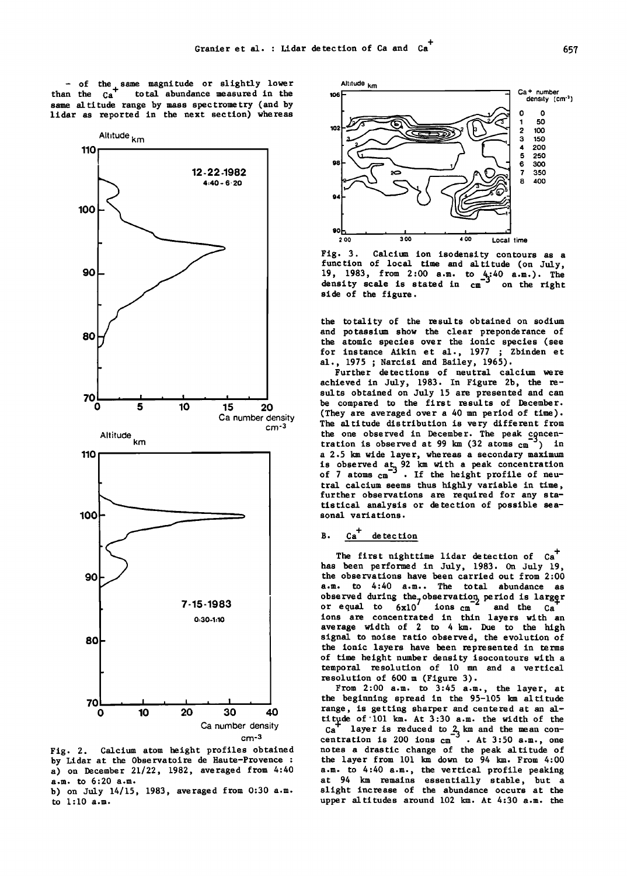**- of the same magnitude or slightly lower**  total abundance measured in the **same altitude range by mass spectrometry (and by lidar as reported in the next section) whereas** 



**Fig. 2. Calcium atom height profiles obtained by Lidar at the Observatoire de Haute-Provence : a) on December 21/22, 1982, averaged from 4:40 a.m. to 6:20 a.m.** 





**Fig. 3. Calcium ion isodensity contours as a function of local time and altitude (on July, 19, 1983, from 2:00 a.m. to**  $4:40$  **a.m.).** The density scale is stated in  $\text{cm}^3$  on the right **side of the figure.** 

**the totality of the results obtained on sodium and potassium show the clear preponderance of the atomic species over the ionic species (see for instance Aikin et al., 1977 ; Zbinden et** 

**al., 1975 ; Narcisi and Bailey, 1965). Further detections of neutral calcium were achieved in July, 1983. In Figure 2b, the results obtained on July 15 are presented and can be compared to the first results of December. (They are averaged over a 40 mn period of time). The altitude distribution is very different from tration is observed at 99 km**  $(32 \text{ atoms cm}^{-3})$  **in a 2.5 km wide layer, whereas a secondary maximum is observed at 32 km with a peak concentration**<br>of 7 atoms cm<sup>3</sup>. If the height profile of neu**tral calcium seems thus highly variable in time, further observations are required for any statistical analysis or detection of possible seasonal variations.** 

## **B.**  $Ca^+$  detection

The first nighttime lidar detection of  $Ca<sup>T</sup>$ **has been performed in July, 1983. On July 19, the observations have been carried out from 2:00 a.m. to 4:40 a.m.. The total abundance as**  observed during the<sub>7</sub>observation period is larger<br>or equal to 6xl0<sup>7</sup> ions cm<sup>2</sup> and the Ca **ions are concentrated in thin layers with an average width of 2 to 4 km. Due to the high signal to noise ratio observed, the evolution of the ionic layers have been represented in terms of time height number density isocontours with a temporal resolution of 10 mn and a vertical resolution of 600 m (Figure 3).** 

**From 2:00 a.m. to 3:45 a.m., the layer, at the beginning spread in the 95-105 km altitude**  range, is getting sharper and centered at an al-<br>titude of 101 km. At 3:30 a.m. the width of the **titude of 101 km. At 3:30 a.m. the width of the contract of the set of the set of the set of the set of the set of the set of the set of the set of the set of the set of the set of the set of the set of the set of the set** Ca layer is reduced to  $\frac{1}{2}$  km and the mean con-<br>centration is 200 ions cm<sup>3</sup> . At 3:50 a.m., one **notes a drastic change of the peak altitude of the layer from 101 km down to 94 kin. From 4:00 a.m. to 4:40 a.m., the vertical profile peaking at 94 km remains essentially stable, but a slight increase of the abundance occurs at the upper altitudes around 102 km. At 4:30 a.m. the**